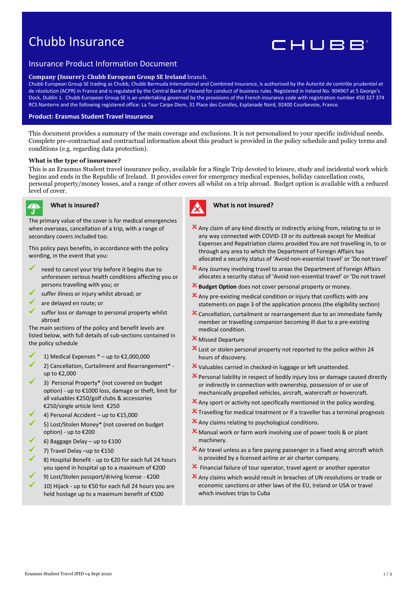# Chubb Insurance



# Insurance Product Information Document

#### **Company (Insurer): Chubb European Group SE Ireland** branch.

Chubb European Group SE trading as Chubb, Chubb Bermuda International and Combined Insurance, is authorised by the Autorité de contrôle prudentiel et de résolution (ACPR) in France and is regulated by the Central Bank of Ireland for conduct of business rules. Registered in Ireland No. 904967 at 5 George's Dock, Dublin 1. Chubb European Group SE is an undertaking governed by the provisions of the French insurance code with registration number 450 327 374 RCS Nanterre and the following registered office: La Tour Carpe Diem, 31 Place des Corolles, Esplanade Nord, 92400 Courbevoie, France.

# **Product: Erasmus Student Travel Insurance**

This document provides a summary of the main coverage and exclusions. It is not personalised to your specific individual needs. Complete pre-contractual and contractual information about this product is provided in the policy schedule and policy terms and conditions (e.g. regarding data protection).

#### **What is the type of insurance?**

This is an Erasmus Student travel insurance policy, available for a Single Trip devoted to leisure, study and incidental work which begins and ends in the Republic of Ireland. It provides cover for emergency medical expenses, holiday cancellation costs, personal property/money losses, and a range of other covers all whilst on a trip abroad. Budget option is available with a reduced level of cover.



# **What is insured?**

The primary value of the cover is for medical emergencies when overseas, cancellation of a trip, with a range of secondary covers included too.

This policy pays benefits, in accordance with the policy wording, in the event that you:

- $\checkmark$  need to cancel your trip before it begins due to unforeseen serious health conditions affecting you or persons travelling with you; or
- suffer illness or injury whilst abroad; or
- are delayed en route; or
- suffer loss or damage to personal property whilst abroad

The main sections of the policy and benefit levels are listed below, with full details of sub-sections contained in the policy schedule

- 1) Medical Expenses  $*$  up to €2,000,000
- 2) Cancellation, Curtailment and Rearrangement\* up to €2,000
- 3) Personal Property\* (not covered on budget option) - up to €1000 loss, damage or theft, limit for all valuables €250/golf clubs & accessories €250/single article limit €250
- ✓ 4) Personal Accident up to €15,000
- 5) Lost/Stolen Money\* (not covered on budget option) - up to €200
- 6) Baggage Delay up to  $£100$
- ✓ 7) Travel Delay –up to €150
- 8) Hospital Benefit up to €20 for each full 24 hours you spend in hospital up to a maximum of €200
- 9) Lost/Stolen passport/driving license €200
- 10) Hijack up to €50 for each full 24 hours you are held hostage up to a maximum benefit of €500



#### **What is not insured?**

- $\boldsymbol{\mathsf{X}}$  Any claim of any kind directly or indirectly arising from, relating to or in any way connected with COVID-19 or its outbreak except for Medical Expenses and Repatriation claims provided You are not travelling in, to or through any area to which the Department of Foreign Affairs has allocated a security status of 'Avoid non-essential travel' or 'Do not travel'
- Any Journey involving travel to areas the Department of Foreign Affairs allocates a security status of 'Avoid non-essential travel' or 'Do not travel
- **X** Budget Option does not cover personal property or money.
- $\mathbf{\mathsf{X}}$  Any pre-existing medical condition or injury that conflicts with any statements on page 3 of the application process (the eligibility section)
- Cancellation, curtailment or rearrangement due to an immediate family member or travelling companion becoming ill due to a pre-existing medical condition.
- **X** Missed Departure
- X Lost or stolen personal property not reported to the police within 24 hours of discovery.
- Valuables carried in checked-in luggage or left unattended.
- Personal liability in respect of bodily injury loss or damage caused directly or indirectly in connection with ownership, possession of or use of mechanically propelled vehicles, aircraft, watercraft or hovercraft.
- Any sport or activity not specifically mentioned in the policy wording.
- **X** Travelling for medical treatment or if a traveller has a terminal prognosis
- Any claims relating to psychological conditions.
- **X** Manual work or farm work involving use of power tools & or plant machinery.
- $\boldsymbol{\times}$  Air travel unless as a fare paying passenger in a fixed wing aircraft which is provided by a licensed airline or air charter company.
- $\boldsymbol{\mathsf{X}}$  Financial failure of tour operator, travel agent or another operator
- Any claims which would result in breaches of UN resolutions or trade or economic sanctions or other laws of the EU, Ireland or USA or travel which involves trips to Cuba